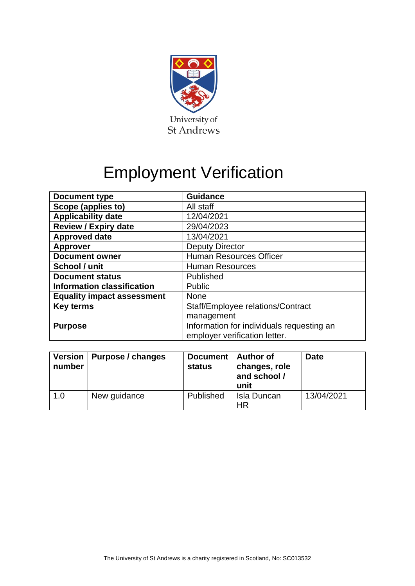

## Employment Verification

| <b>Document type</b>              | <b>Guidance</b>                                                            |  |  |
|-----------------------------------|----------------------------------------------------------------------------|--|--|
| Scope (applies to)                | All staff                                                                  |  |  |
| <b>Applicability date</b>         | 12/04/2021                                                                 |  |  |
| <b>Review / Expiry date</b>       | 29/04/2023                                                                 |  |  |
| <b>Approved date</b>              | 13/04/2021                                                                 |  |  |
| <b>Approver</b>                   | <b>Deputy Director</b>                                                     |  |  |
| <b>Document owner</b>             | <b>Human Resources Officer</b>                                             |  |  |
| School / unit                     | <b>Human Resources</b>                                                     |  |  |
| <b>Document status</b>            | Published                                                                  |  |  |
| <b>Information classification</b> | Public                                                                     |  |  |
| <b>Equality impact assessment</b> | None                                                                       |  |  |
| <b>Key terms</b>                  | Staff/Employee relations/Contract                                          |  |  |
|                                   | management                                                                 |  |  |
| <b>Purpose</b>                    | Information for individuals requesting an<br>employer verification letter. |  |  |

| number | Version   Purpose / changes | Document   Author of<br><b>status</b> | changes, role<br>and school /<br>unit | <b>Date</b> |
|--------|-----------------------------|---------------------------------------|---------------------------------------|-------------|
| 1.0    | New guidance                | Published                             | Isla Duncan<br>HR                     | 13/04/2021  |